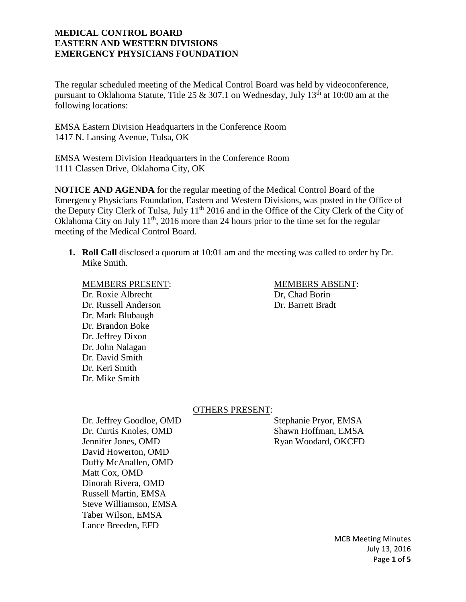The regular scheduled meeting of the Medical Control Board was held by videoconference, pursuant to Oklahoma Statute, Title 25 & 307.1 on Wednesday, July 13<sup>th</sup> at 10:00 am at the following locations:

EMSA Eastern Division Headquarters in the Conference Room 1417 N. Lansing Avenue, Tulsa, OK

EMSA Western Division Headquarters in the Conference Room 1111 Classen Drive, Oklahoma City, OK

**NOTICE AND AGENDA** for the regular meeting of the Medical Control Board of the Emergency Physicians Foundation, Eastern and Western Divisions, was posted in the Office of the Deputy City Clerk of Tulsa, July 11<sup>th</sup> 2016 and in the Office of the City Clerk of the City of Oklahoma City on July  $11<sup>th</sup>$ , 2016 more than 24 hours prior to the time set for the regular meeting of the Medical Control Board.

**1. Roll Call** disclosed a quorum at 10:01 am and the meeting was called to order by Dr. Mike Smith.

MEMBERS PRESENT: MEMBERS ABSENT: Dr. Roxie Albrecht Dr. Chad Borin Dr. Russell Anderson Dr. Barrett Bradt Dr. Mark Blubaugh Dr. Brandon Boke Dr. Jeffrey Dixon Dr. John Nalagan Dr. David Smith Dr. Keri Smith Dr. Mike Smith

#### OTHERS PRESENT:

Dr. Jeffrey Goodloe, OMD Stephanie Pryor, EMSA Dr. Curtis Knoles, OMD Shawn Hoffman, EMSA Jennifer Jones, OMD Ryan Woodard, OKCFD David Howerton, OMD Duffy McAnallen, OMD Matt Cox, OMD Dinorah Rivera, OMD Russell Martin, EMSA Steve Williamson, EMSA Taber Wilson, EMSA Lance Breeden, EFD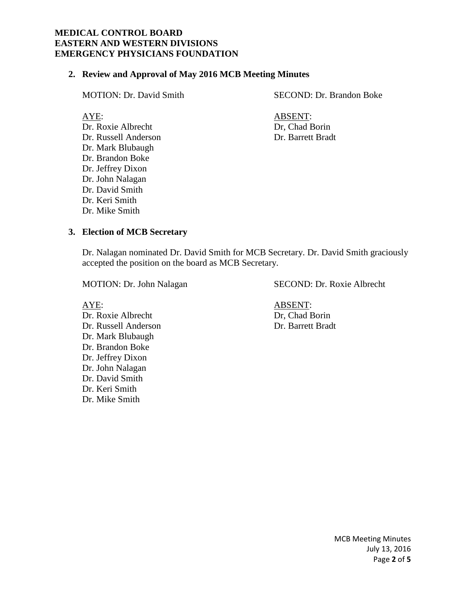#### **2. Review and Approval of May 2016 MCB Meeting Minutes**

Dr. Roxie Albrecht Dr. Chad Borin Dr. Russell Anderson Dr. Barrett Bradt Dr. Mark Blubaugh Dr. Brandon Boke Dr. Jeffrey Dixon Dr. John Nalagan Dr. David Smith Dr. Keri Smith Dr. Mike Smith

MOTION: Dr. David Smith SECOND: Dr. Brandon Boke

AYE: ABSENT:

#### **3. Election of MCB Secretary**

Dr. Nalagan nominated Dr. David Smith for MCB Secretary. Dr. David Smith graciously accepted the position on the board as MCB Secretary.

Dr. Roxie Albrecht Dr. Russell Anderson Dr. Barrett Bradt Dr. Mark Blubaugh Dr. Brandon Boke Dr. Jeffrey Dixon Dr. John Nalagan Dr. David Smith Dr. Keri Smith Dr. Mike Smith

MOTION: Dr. John Nalagan SECOND: Dr. Roxie Albrecht

AYE:<br>
Dr. Roxie Albrecht<br>
Dr. Roxie Albrecht<br>
ABSENT:<br>
Dr. Chad Borin

MCB Meeting Minutes July 13, 2016 Page **2** of **5**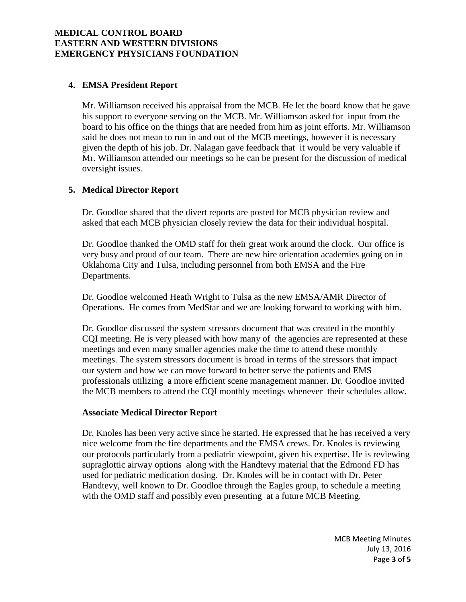#### **4. EMSA President Report**

Mr. Williamson received his appraisal from the MCB. He let the board know that he gave his support to everyone serving on the MCB. Mr. Williamson asked for input from the board to his office on the things that are needed from him as joint efforts. Mr. Williamson said he does not mean to run in and out of the MCB meetings, however it is necessary given the depth of his job. Dr. Nalagan gave feedback that it would be very valuable if Mr. Williamson attended our meetings so he can be present for the discussion of medical oversight issues.

## **5. Medical Director Report**

Dr. Goodloe shared that the divert reports are posted for MCB physician review and asked that each MCB physician closely review the data for their individual hospital.

Dr. Goodloe thanked the OMD staff for their great work around the clock. Our office is very busy and proud of our team. There are new hire orientation academies going on in Oklahoma City and Tulsa, including personnel from both EMSA and the Fire Departments.

Dr. Goodloe welcomed Heath Wright to Tulsa as the new EMSA/AMR Director of Operations. He comes from MedStar and we are looking forward to working with him.

Dr. Goodloe discussed the system stressors document that was created in the monthly CQI meeting. He is very pleased with how many of the agencies are represented at these meetings and even many smaller agencies make the time to attend these monthly meetings. The system stressors document is broad in terms of the stressors that impact our system and how we can move forward to better serve the patients and EMS professionals utilizing a more efficient scene management manner. Dr. Goodloe invited the MCB members to attend the CQI monthly meetings whenever their schedules allow.

#### **Associate Medical Director Report**

Dr. Knoles has been very active since he started. He expressed that he has received a very nice welcome from the fire departments and the EMSA crews. Dr. Knoles is reviewing our protocols particularly from a pediatric viewpoint, given his expertise. He is reviewing supraglottic airway options along with the Handtevy material that the Edmond FD has used for pediatric medication dosing. Dr. Knoles will be in contact with Dr. Peter Handtevy, well known to Dr. Goodloe through the Eagles group, to schedule a meeting with the OMD staff and possibly even presenting at a future MCB Meeting.

> MCB Meeting Minutes July 13, 2016 Page **3** of **5**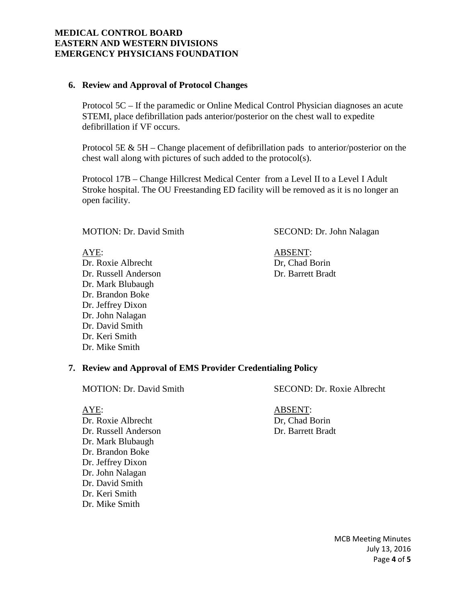#### **6. Review and Approval of Protocol Changes**

Protocol 5C – If the paramedic or Online Medical Control Physician diagnoses an acute STEMI, place defibrillation pads anterior/posterior on the chest wall to expedite defibrillation if VF occurs.

Protocol 5E & 5H – Change placement of defibrillation pads to anterior/posterior on the chest wall along with pictures of such added to the protocol(s).

Protocol 17B – Change Hillcrest Medical Center from a Level II to a Level I Adult Stroke hospital. The OU Freestanding ED facility will be removed as it is no longer an open facility.

Dr. Roxie Albrecht Dr. Chad Borin Dr. Russell Anderson Dr. Barrett Bradt Dr. Mark Blubaugh Dr. Brandon Boke Dr. Jeffrey Dixon Dr. John Nalagan Dr. David Smith Dr. Keri Smith Dr. Mike Smith

## MOTION: Dr. David Smith SECOND: Dr. John Nalagan

AYE: ABSENT:

#### **7. Review and Approval of EMS Provider Credentialing Policy**

AYE: ABSENT: Dr. Roxie Albrecht Dr. Chad Borin Dr. Russell Anderson Dr. Barrett Bradt Dr. Mark Blubaugh Dr. Brandon Boke Dr. Jeffrey Dixon Dr. John Nalagan Dr. David Smith Dr. Keri Smith Dr. Mike Smith

## MOTION: Dr. David Smith SECOND: Dr. Roxie Albrecht

MCB Meeting Minutes July 13, 2016 Page **4** of **5**